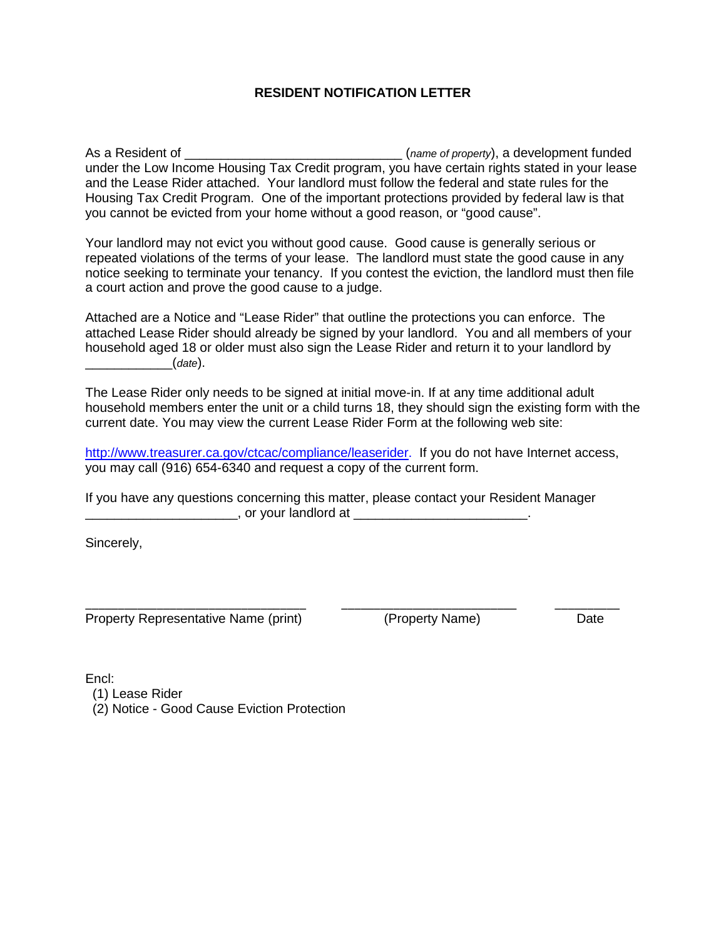# **RESIDENT NOTIFICATION LETTER**

As a Resident of \_\_\_\_\_\_\_\_\_\_\_\_\_\_\_\_\_\_\_\_\_\_\_\_\_\_\_\_\_\_ (*name of property*), a development funded under the Low Income Housing Tax Credit program, you have certain rights stated in your lease and the Lease Rider attached. Your landlord must follow the federal and state rules for the Housing Tax Credit Program. One of the important protections provided by federal law is that you cannot be evicted from your home without a good reason, or "good cause".

Your landlord may not evict you without good cause. Good cause is generally serious or repeated violations of the terms of your lease. The landlord must state the good cause in any notice seeking to terminate your tenancy. If you contest the eviction, the landlord must then file a court action and prove the good cause to a judge.

Attached are a Notice and "Lease Rider" that outline the protections you can enforce. The attached Lease Rider should already be signed by your landlord. You and all members of your household aged 18 or older must also sign the Lease Rider and return it to your landlord by \_\_\_\_\_\_\_\_\_\_\_\_(*date*).

The Lease Rider only needs to be signed at initial move-in. If at any time additional adult household members enter the unit or a child turns 18, they should sign the existing form with the current date. You may view the current Lease Rider Form at the following web site:

http://www.treasurer.ca.gov/ctcac/compliance/leaserider. If you do not have Internet access, you may call (916) 654-6340 and request a copy of the current form.

\_\_\_\_\_\_\_\_\_\_\_\_\_\_\_\_\_\_\_\_\_\_\_\_\_\_\_\_\_\_\_\_\_\_ \_\_\_\_\_\_\_\_\_\_\_\_\_\_\_\_\_\_\_\_\_\_\_\_\_\_\_ \_\_\_\_\_\_\_\_\_\_

If you have any questions concerning this matter, please contact your Resident Manager \_\_\_\_\_\_\_\_\_\_\_\_\_\_\_\_\_\_\_\_\_, or your landlord at \_\_\_\_\_\_\_\_\_\_\_\_\_\_\_\_\_\_\_\_\_\_\_\_.

Sincerely,

Property Representative Name (print) (Property Name) Date

Encl:

- (1) Lease Rider
- (2) Notice Good Cause Eviction Protection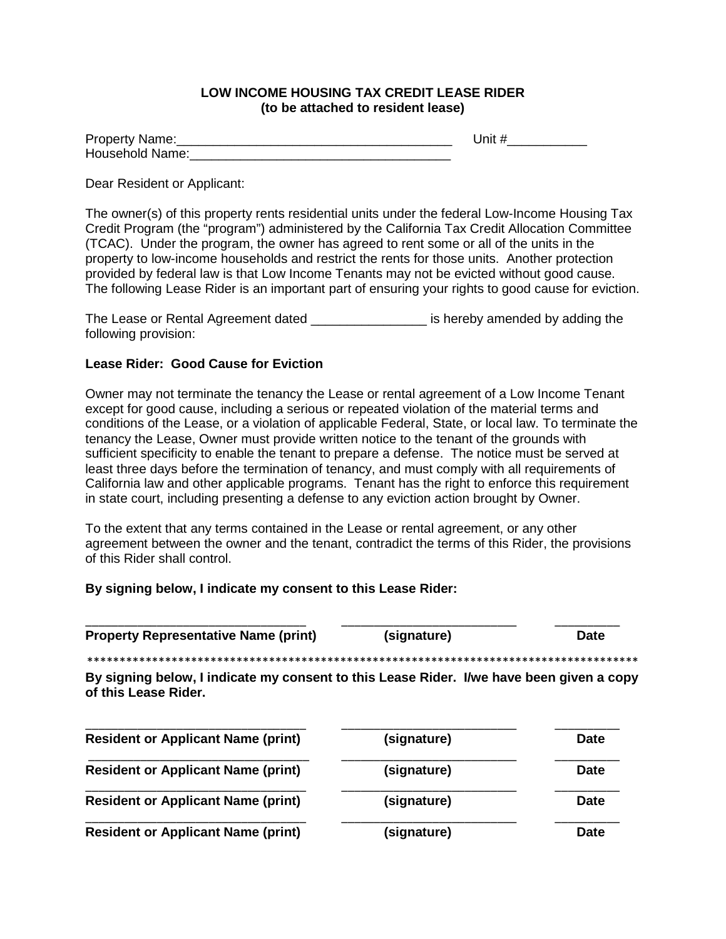# **LOW INCOME HOUSING TAX CREDIT LEASE RIDER (to be attached to resident lease)**

| Property Name:  | Jnit # |
|-----------------|--------|
| Household Name: |        |

## Dear Resident or Applicant:

The owner(s) of this property rents residential units under the federal Low-Income Housing Tax Credit Program (the "program") administered by the California Tax Credit Allocation Committee (TCAC). Under the program, the owner has agreed to rent some or all of the units in the property to low-income households and restrict the rents for those units. Another protection provided by federal law is that Low Income Tenants may not be evicted without good cause. The following Lease Rider is an important part of ensuring your rights to good cause for eviction.

The Lease or Rental Agreement dated \_\_\_\_\_\_\_\_\_\_\_\_\_\_\_\_ is hereby amended by adding the following provision:

# **Lease Rider: Good Cause for Eviction**

Owner may not terminate the tenancy the Lease or rental agreement of a Low Income Tenant except for good cause, including a serious or repeated violation of the material terms and conditions of the Lease, or a violation of applicable Federal, State, or local law. To terminate the tenancy the Lease, Owner must provide written notice to the tenant of the grounds with sufficient specificity to enable the tenant to prepare a defense. The notice must be served at least three days before the termination of tenancy, and must comply with all requirements of California law and other applicable programs. Tenant has the right to enforce this requirement in state court, including presenting a defense to any eviction action brought by Owner.

To the extent that any terms contained in the Lease or rental agreement, or any other agreement between the owner and the tenant, contradict the terms of this Rider, the provisions of this Rider shall control.

\_\_\_\_\_\_\_\_\_\_\_\_\_\_\_\_\_\_\_\_\_\_\_\_\_\_\_\_\_\_\_\_\_\_ \_\_\_\_\_\_\_\_\_\_\_\_\_\_\_\_\_\_\_\_\_\_\_\_\_\_\_ \_\_\_\_\_\_\_\_\_\_

**By signing below, I indicate my consent to this Lease Rider:** 

| <b>Property Representative Name (print)</b>                                                                      | (signature) | <b>Date</b> |
|------------------------------------------------------------------------------------------------------------------|-------------|-------------|
|                                                                                                                  |             |             |
| By signing below, I indicate my consent to this Lease Rider. I/we have been given a copy<br>of this Lease Rider. |             |             |
| <b>Resident or Applicant Name (print)</b>                                                                        | (signature) | <b>Date</b> |
| <b>Resident or Applicant Name (print)</b>                                                                        | (signature) | <b>Date</b> |
| <b>Resident or Applicant Name (print)</b>                                                                        | (signature) | <b>Date</b> |
| <b>Resident or Applicant Name (print)</b>                                                                        | (signature) | <b>Date</b> |